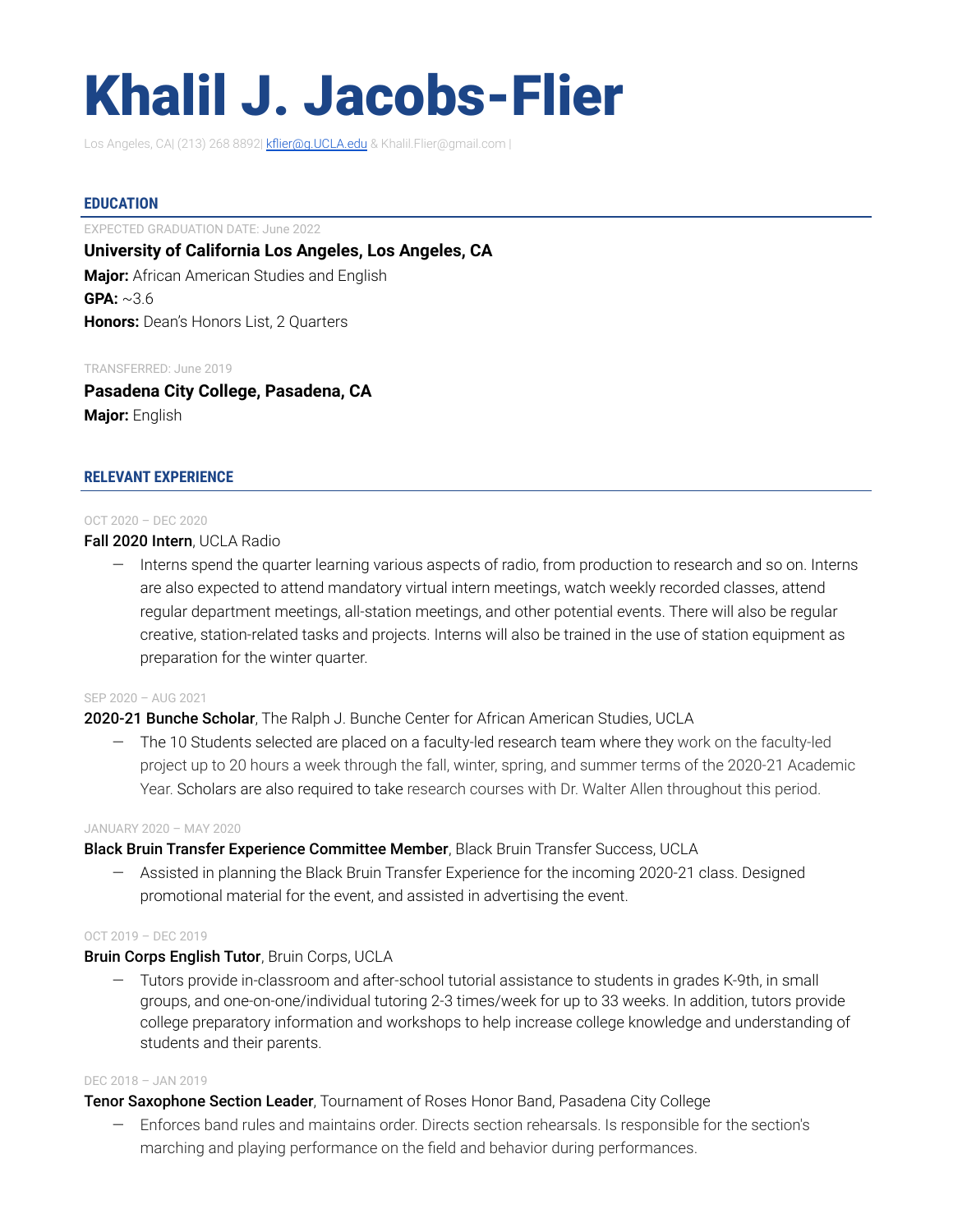# Khalil J. Jacobs-Flier

Los Angeles, CA| (213) 268 8892| [kflier@g.UCLA.edu](mailto:kflier@g.UCLA.edu) & Khalil.Flier@gmail.com |

## **EDUCATION**

EXPECTED GRADUATION DATE: June 2022 **University of California Los Angeles, Los Angeles, CA Major:** African American Studies and English **GPA:** ~3.6 **Honors:** Dean's Honors List, 2 Quarters

#### TRANSFERRED: June 2019

**Pasadena City College, Pasadena, CA Major:** English

## **RELEVANT EXPERIENCE**

#### OCT 2020 – DEC 2020

Fall 2020 Intern, UCLA Radio

— Interns spend the quarter learning various aspects of radio, from production to research and so on. Interns are also expected to attend mandatory virtual intern meetings, watch weekly recorded classes, attend regular department meetings, all-station meetings, and other potential events. There will also be regular creative, station-related tasks and projects. Interns will also be trained in the use of station equipment as preparation for the winter quarter.

#### SEP 2020 – AUG 2021

## 2020-21 Bunche Scholar, The Ralph J. Bunche Center for African American Studies, UCLA

— The 10 Students selected are placed on a faculty-led research team where they work on the faculty-led project up to 20 hours a week through the fall, winter, spring, and summer terms of the 2020-21 Academic Year. Scholars are also required to take research courses with Dr. Walter Allen throughout this period.

#### JANUARY 2020 – MAY 2020

## Black Bruin Transfer Experience Committee Member, Black Bruin Transfer Success, UCLA

— Assisted in planning the Black Bruin Transfer Experience for the incoming 2020-21 class. Designed promotional material for the event, and assisted in advertising the event.

#### OCT 2019 – DEC 2019

## Bruin Corps English Tutor, Bruin Corps, UCLA

— Tutors provide in-classroom and after-school tutorial assistance to students in grades K-9th, in small groups, and one-on-one/individual tutoring 2-3 times/week for up to 33 weeks. In addition, tutors provide college preparatory information and workshops to help increase college knowledge and understanding of students and their parents.

#### DEC 2018 – JAN 2019

## **Tenor Saxophone Section Leader**, Tournament of Roses Honor Band, Pasadena City College

— Enforces band rules and maintains order. Directs section rehearsals. Is responsible for the section's marching and playing performance on the field and behavior during performances.